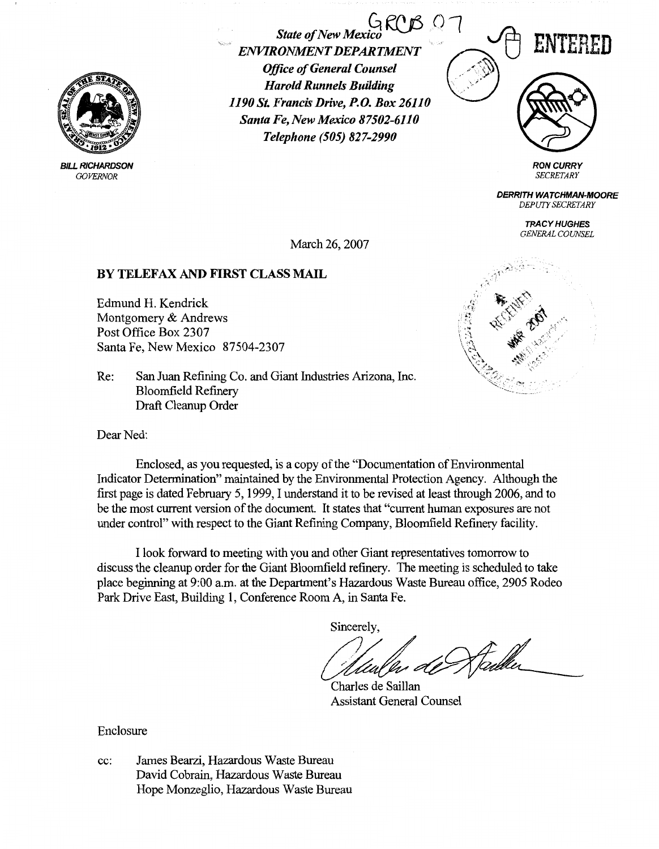

**BILL RICHARDSON** *GOVERNOR* 

State of New Mexico<br>
ENTERED<br>
Office of General Counsel *1190 St Francis Drive, P.O. Box 26110 Harold Runnels Building Santa Fe, New Mexico 87502-6110 Telephone (505) 827-2990* 



**RON CURRY**  *SECRETARY* 

**DERR/TH WATCHMAN-MOORE**  *DEPUTY SECRETARY* 

> **TRACY HUGHES**  *GENERAL COUNSEL*

March 26, 2007

# **BY TELEFAX AND FIRST CLASS MAIL**

Edmund H. Kendrick Montgomery & Andrews Post Office Box 2307 Santa Fe, New Mexico 87504-2307

Re: San Juan Refining Co. and Giant Industries Arizona, Inc. Bloomfield Refinery Draft Cleanup Order

Dear Ned:

Enclosed, as you requested, is a copy of the "Documentation of Environmental Indicator Determination" maintained by the Environmental Protection Agency. Although the first page is dated February 5, 1999, I understand it to be revised at least through 2006, and to be the most current version of the document. It states that "current human exposures are not under control" with respect to the Giant Refining Company, Bloomfield Refmery facility.

I look forward to meeting with you and other Giant representatives tomorrow to discuss the cleanup order for the Giant Bloomfield refinery. The meeting is scheduled to take place beginning at 9:00 a.m. at the Department's Hazardous Waste Bureau office, 2905 Rodeo Park Drive East, Building 1, Conference Room A, in Santa Fe.

Sincerely,

nt's Hazardous Waste Bureau office, 2905 Rodeo<br>
m A, in Santa Fe.<br>
Sincerely,<br>
Charles de Saillan<br>
Charles de Saillan<br>
Assistant General Counsel

Assistant General Counsel

Enclosure

cc: James Bearzi, Hazardous Waste Bureau David Cobrain, Hazardous Waste Bureau Hope Monzeglio, Hazardous Waste Bureau

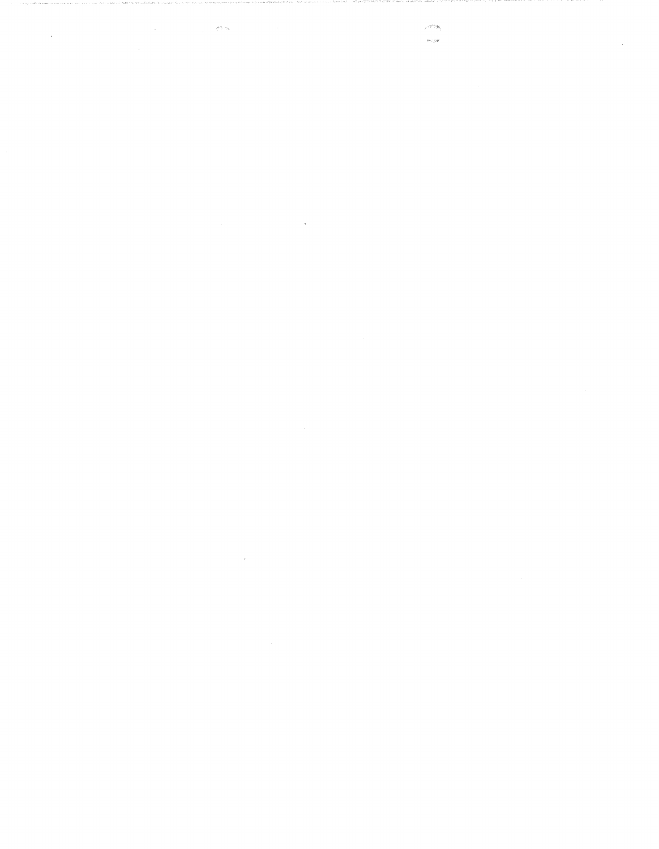$\label{eq:R1} \mathcal{A}^{\frac{N}{2}}(N) = \frac{1}{N} \sum_{i=1}^N \frac{1}{N_i} \sum_{i=1}^N \frac{1}{N_i} \sum_{i=1}^N \frac{1}{N_i} \sum_{i=1}^N \frac{1}{N_i} \sum_{i=1}^N \frac{1}{N_i} \sum_{i=1}^N \frac{1}{N_i} \sum_{i=1}^N \frac{1}{N_i} \sum_{i=1}^N \frac{1}{N_i} \sum_{i=1}^N \frac{1}{N_i} \sum_{i=1}^N \frac{1}{N_i} \sum_{i=1}^N \frac{1}{N_i}$  $\begin{split} \rho^{\alpha\beta\gamma\delta\gamma\delta} \Phi_{\gamma\delta} \\ \approx \sigma_{\gamma\delta} \Phi_{\gamma\delta} \end{split}$  $\mathcal{O}(\mathcal{O}(\log n))$ 

 $\label{eq:2.1} \frac{1}{\sqrt{2\pi}}\int_{\mathbb{R}^3}\frac{1}{\sqrt{2\pi}}\int_{\mathbb{R}^3}\frac{1}{\sqrt{2\pi}}\int_{\mathbb{R}^3}\frac{1}{\sqrt{2\pi}}\int_{\mathbb{R}^3}\frac{1}{\sqrt{2\pi}}\int_{\mathbb{R}^3}\frac{1}{\sqrt{2\pi}}\int_{\mathbb{R}^3}\frac{1}{\sqrt{2\pi}}\int_{\mathbb{R}^3}\frac{1}{\sqrt{2\pi}}\int_{\mathbb{R}^3}\frac{1}{\sqrt{2\pi}}\int_{\mathbb{R}^3}\frac{1$ 

 $\label{eq:2.1} \mathcal{L}(\mathcal{L}^{\text{max}}_{\mathcal{L}}(\mathcal{L}^{\text{max}}_{\mathcal{L}}(\mathcal{L}^{\text{max}}_{\mathcal{L}}(\mathcal{L}^{\text{max}}_{\mathcal{L}^{\text{max}}_{\mathcal{L}}})))))$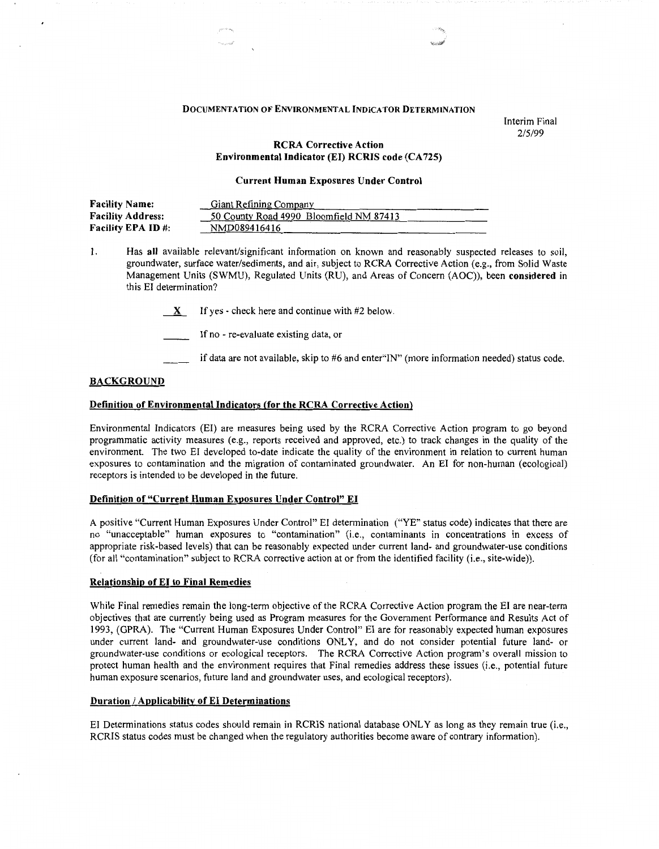#### DOCUMENTATION OF ENVIRONMENTAL INDICATOR DETERMINATION

Interim Final 2/5/99

# **RCRA Corrective Action Environmental Indicator (EI) RCRIS code (CA 725)**

#### **Current Human Exposures Under Control**

| <b>Facility Name:</b>     | <b>Giant Refining Company</b>           |
|---------------------------|-----------------------------------------|
| <b>Facility Address:</b>  | 50 County Road 4990 Bloomfield NM 87413 |
| <b>Facility EPA ID #:</b> | NMD089416416                            |

1. Has **all** available relevant/significant information on known and reasonably suspected releases to soil, groundwater, surface water/sediments, and air, subject to RCRA Corrective Action (e.g., from Solid Waste Management Units (SWMU), Regulated Units (RU), and Areas of Concern (AOC)), been **considered** in this EI determination?

 $X$  If yes - check here and continue with #2 below.

- If no re-evaluate existing data, or
- 
- if data are not available, skip to #6 and enter"IN" (more information needed) status code.

## **BACKGROUND**

#### **Definition of Environmental Indicators (for the RCRA Corrective Action}**

Environmental Indicators (El) are measures being used by the RCRA Corrective Action program to go beyond programmatic activity measures (e.g., reports received and approved, etc.) to track changes in the quality of the environment. The two EI developed to-date indicate the quality of the environment in relation to current human exposures to contamination and the migration of contaminated groundwater. An El for non-human (ecological) receptors is intended to be developed in the future.

## **Definition of "Current Human Exposures Under Control" EI**

A positive "Current Human Exposures Under Control" EI determination ("YE" status code) indicates that there are no "unacceptable" human exposures to "contamination" (i.e., contaminants in concentrations in excess of appropriate risk-based levels) that can be reasonably expected under current land- and groundwater-use conditions (for all "contamination" subject to RCRA corrective action at or from the identified facility (i.e., site-wide)).

## **Relationship of** EI **to Final Remedies**

While Final remedies remain the long-term objective of the RCRA Corrective Action program the EI are near-term objectives that are currently being used as Program measures for the Government Performance and Results Act of 1993, (GPRA). The "Current Human Exposures Under Control" EI are for reasonably expected human exposures under current land- and groundwater-use conditions ONLY, and do not consider potential future land- or groundwater-use conditions or ecological receptors. The RCRA Corrective Action program's overall mission to protect human health and the environment requires that Final remedies address these issues (i.e., potential future human exposure scenarios, future land and groundwater uses, and ecological receptors).

## **Duration** / **Applicability of EI Determinations**

EI Determinations status codes should remain in RCRIS national database ONLY as long as they remain true (i.e., RCRIS status codes must be changed when the regulatory authorities become aware of contrary information).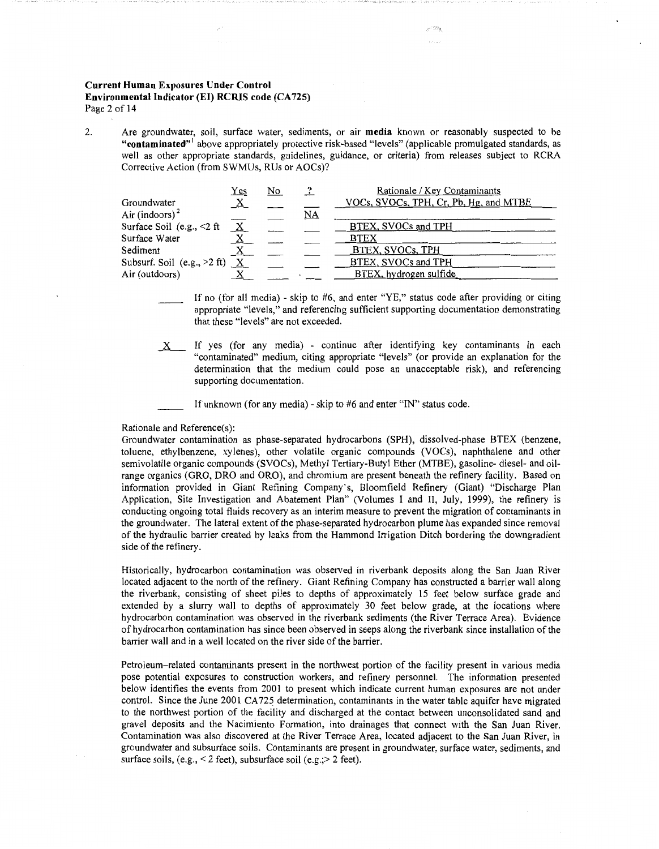## **Current Human Exposures Under Control Environmental Indicator (El) RCRIS code (CA 725)**  Page 2 of 14

2. Are groundwater, soil, surface water, sediments, or air **media** known or reasonably suspected to be **"contaminated"'** above appropriately protective risk-based "levels" (applicable promulgated standards, as well as other appropriate standards, guidelines, guidance, or criteria) from releases subject to RCRA Corrective Action (from SWMUs, RUs or AOCs)?

|                                   | Yes                      | <u>No</u> |    | Rationale / Key Contaminants           |
|-----------------------------------|--------------------------|-----------|----|----------------------------------------|
| Groundwater                       | $\underline{\textbf{X}}$ |           |    | VOCs, SVOCs, TPH, Cr, Pb, Hg, and MTBE |
| Air (indoors) <sup>2</sup>        |                          |           | NA |                                        |
| Surface Soil (e.g., $\leq 2$ ft   | $\mathbf{X}$             |           |    | BTEX, SVOCs and TPH                    |
| Surface Water                     |                          |           |    | <b>BTEX</b>                            |
| Sediment                          |                          |           |    | BTEX, SVOCs, TPH                       |
| Subsurf. Soil (e.g., $>2$ ft) $X$ |                          |           |    | BTEX, SVOCs and TPH                    |
| Air (outdoors)                    |                          |           |    | BTEX, hydrogen sulfide                 |

- If no (for all media) skip to  $#6$ , and enter "YE," status code after providing or citing appropriate "levels," and referencing sufficient supporting documentation demonstrating that these "levels" are not exceeded.
- $X$  If yes (for any media) continue after identifying key contaminants in each "contaminated" medium, citing appropriate "levels" (or provide an explanation for the determination that the medium could pose an unacceptable risk), and referencing supporting documentation.

If unknown (for any media)- skip to #6 and enter "IN" status code.

#### Rationale and Reference(s):

Groundwater contamination as phase-separated hydrocarbons (SPH), dissolved-phase BTEX (benzene, toluene, ethylbenzene, xylenes), other volatile organic compounds (VOCs), naphthalene and other semivolatile organic compounds (SVOCs), Methyl Tertiary-Butyl Ether (MTBE), gasoline- diesel- and oilrange organics (GRO, ORO and ORO), and chromium are present beneath the refinery facility. Based on information provided in Giant Refining Company's, Bloomfield Refinery (Giant) "Discharge Plan Application, Site Investigation and Abatement Plan" (Volumes I and II, July, 1999), the refinery is conducting ongoing total fluids recovery as an interim measure to prevent the migration of contaminants in the groundwater. The lateral extent of the phase-separated hydrocarbon plume has expanded since removal of the hydraulic barrier created by leaks from the Hammond Irrigation Ditch bordering the downgradient side of the refinery.

Historically, hydrocarbon contamination was observed in riverbank deposits along the San Juan River located adjacent to the north of the refinery. Giant Refining Company has constructed a barrier wall along the riverbank, consisting of sheet piles to depths of approximately 15 feet below surface grade and extended by a slurry wall to depths of approximately 30 feet below grade, at the locations where hydrocarbon contamination was observed in the riverbank sediments (the River Terrace Area). Evidence of hydrocarbon contamination has since been observed in seeps along the riverbank since installation of the barrier wall and in a well located on the river side of the barrier.

Petroleum-related contaminants present in the northwest portion of the facility present in various media pose potential exposures to construction workers, and refinery personnel. The information presented below identifies the events from 2001 to present which indicate current human exposures are not under control. Since the June 2001 CA 725 determination, contaminants in the water table aquifer have migrated to the northwest portion of the facility and discharged at the contact between unconsolidated sand and gravel deposits and the Nacimiento Formation, into drainages that connect with the San Juan River. Contamination was also discovered at the River Terrace Area, located adjacent to the San Juan River, in groundwater and subsurface soils. Contaminants are present in groundwater, surface water, sediments, and surface soils,  $(e.g., < 2 \text{ feet})$ , subsurface soil  $(e.g., > 2 \text{ feet})$ .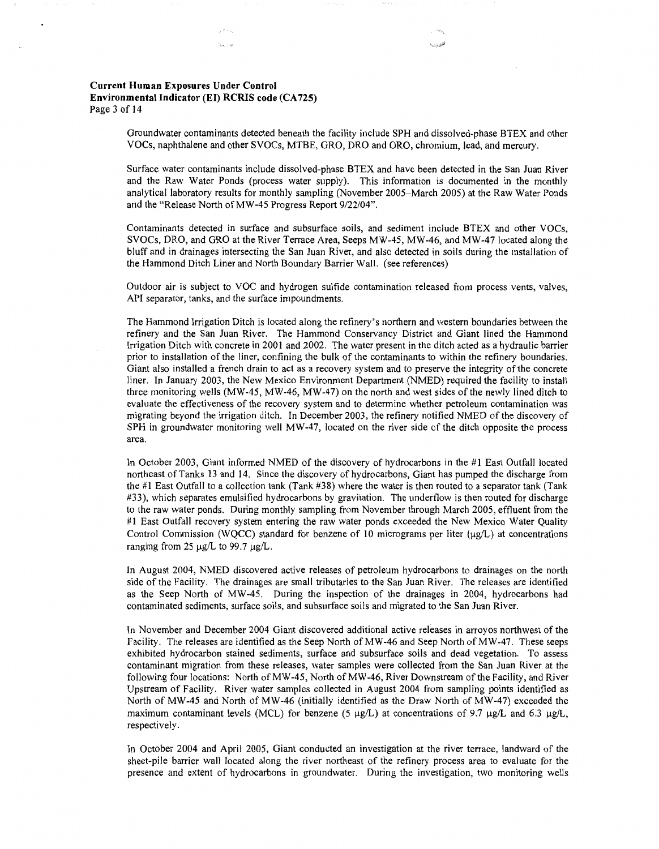## **Current Human Exposures Under Control Environmental Indicator (El) RCRIS code (CA 725)**  Page 3 of **14**

Groundwater contaminants detected beneath the facility include SPH and dissolved-phase BTEX and other VOCs, naphthalene and other SVOCs, MTBE, GRO, DRO and ORO, chromium, lead, and mercury.

Surface water contaminants include dissolved-phase BTEX and have been detected in the San Juan River and the Raw Water Ponds (process water supply). This information is documented in the monthly analytical laboratory results for monthly sampling (November 2005-March 2005) at the Raw Water Ponds and the "Release North of MW-45 Progress Report 9/22/04".

Contaminants detected in surface and subsurface soils, and sediment include BTEX and other VOCs, SVOCs, DRO, and GRO at the River Terrace Area, Seeps MW-45, MW-46, and MW-47 located along the bluff and in drainages intersecting the San Juan River, and also detected in soils during the installation of the Hammond Ditch Liner and North Boundary Barrier Wall. (see references)

Outdoor air is subject to VOC and hydrogen sulfide contamination released from process vents, valves, API separator, tanks, and the surface impoundments.

The Hammond Irrigation Ditch is located along the refinery's northern and western boundaries between the refinery and the San Juan River. The Hammond Conservancy District and Giant lined the Hammond Irrigation Ditch with concrete in 2001 and 2002. The water present in the ditch acted as a hydraulic barrier prior to installation of the liner, confining the bulk of the contaminants to within the refinery boundaries. Giant also installed a french drain to act as a recovery system and to preserve the integrity of the concrete liner. In January 2003, the New Mexico Environment Department (NMED) required the facility to install three monitoring wells (MW-45, MW-46, MW-47) on the north and west sides of the newly lined ditch to evaluate the effectiveness of the recovery system and to determine whether petroleum contamination was migrating beyond the irrigation ditch. In December 2003, the refinery notified NMED of the discovery of SPH in groundwater monitoring well MW-47, located on the river side of the ditch opposite the process area.

In October 2003, Giant informed NMED of the discovery of hydrocarbons in the **#1** East Outfall located northeast of Tanks 13 and 14. Since the discovery of hydrocarbons, Giant has pumped the discharge from the **#1** East Outfall to a collection tank (Tank #38) where the water is then routed to a separator tank (Tank #33), which separates emulsified hydrocarbons by gravitation. The underflow is then routed for discharge to the raw water ponds. During monthly sampling from November through March 2005, effluent from the **#1** East Outfall recovery system entering the raw water ponds exceeded the New Mexico Water Quality Control Commission (WQCC) standard for benzene of 10 micrograms per liter  $(\mu g/L)$  at concentrations ranging from 25  $\mu$ g/L to 99.7  $\mu$ g/L.

In August 2004, NMED discovered active releases of petroleum hydrocarbons to drainages on the north side of the Facility. The drainages are small tributaries to the San Juan River. The releases are identified as the Seep North of MW-45. During the inspection of the drainages in 2004, hydrocarbons had contaminated sediments, surface soils, and subsurface soils and migrated to the San Juan River.

In November and December 2004 Giant discovered additional active releases in arroyos northwest of the Facility. The releases are identified as the Seep North of MW-46 and Seep North of MW-47. These seeps exhibited hydrocarbon stained sediments, surface and subsurface soils and dead vegetation. To assess contaminant migration from these releases, water samples were collected from the San Juan River at the following four locations: North of MW-45, North of MW-46, River Downstream of the Facility, and River Upstream of Facility. River water samples collected in August 2004 from sampling points identified as North of MW-45 and North of MW-46 (initially identified as the Draw North of MW-47) exceeded the maximum contaminant levels (MCL) for benzene (5  $\mu$ g/L) at concentrations of 9.7  $\mu$ g/L and 6.3  $\mu$ g/L, respectively.

In October 2004 and April 2005, Giant conducted an investigation at the river terrace, landward of the sheet-pile barrier wall located along the river northeast of the refinery process area to evaluate for the presence and extent of hydrocarbons in groundwater. During the investigation, two monitoring wells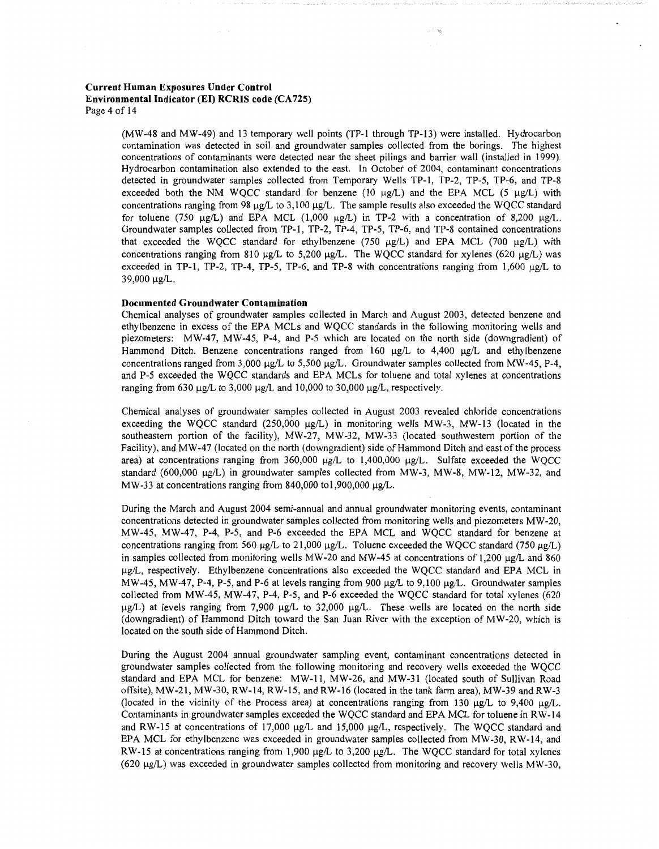## **Current Human Exposures Under Control Environmental Indicator (EI) RCRIS code (CA 725)**  Page 4 of 14

(MW-48 and MW-49) and 13 temporary well points (TP-1 through TP-13) were installed. Hydrocarbon contamination was detected in soil and groundwater samples collected from the borings. The highest concentrations of contaminants were detected near the sheet pilings and barrier wall (installed in 1999). Hydrocarbon contamination also extended to the east. In October of 2004, contaminant concentrations detected in groundwater samples collected from Temporary Wells TP-1, TP-2, TP-5, TP-6, and TP-8 exceeded both the NM WQCC standard for benzene (10  $\mu$ g/L) and the EPA MCL (5  $\mu$ g/L) with concentrations ranging from 98  $\mu$ g/L to 3,100  $\mu$ g/L. The sample results also exceeded the WQCC standard for toluene (750  $\mu$ g/L) and EPA MCL (1,000  $\mu$ g/L) in TP-2 with a concentration of 8,200  $\mu$ g/L. Groundwater samples collected from TP-1, TP-2, TP-4, TP-5, TP-6, and TP-8 contained concentrations that exceeded the WQCC standard for ethylbenzene (750  $\mu g/L$ ) and EPA MCL (700  $\mu g/L$ ) with concentrations ranging from 810  $\mu$ g/L to 5,200  $\mu$ g/L. The WQCC standard for xylenes (620  $\mu$ g/L) was exceeded in TP-1, TP-2, TP-4, TP-5, TP-6, and TP-8 with concentrations ranging from  $1,600 \mu g/L$  to 39,000 µg/L.

#### **Documented Groundwater Contamination**

Chemical analyses of groundwater samples collected in March and August 2003, detected benzene and ethylbenzene in excess of the EPA MCLs and WQCC standards in the following monitoring wells and piezometers: MW-47, MW-45, P-4, and P-5 which are located on the north side (downgradient) of Hammond Ditch. Benzene concentrations ranged from 160  $\mu g/L$  to 4,400  $\mu g/L$  and ethylbenzene concentrations ranged from 3,000  $\mu$ g/L to 5,500  $\mu$ g/L. Groundwater samples collected from MW-45, P-4, and P-5 exceeded the WQCC standards and EPA MCLs for toluene and total xylenes at concentrations ranging from 630  $\mu$ g/L to 3,000  $\mu$ g/L and 10,000 to 30,000  $\mu$ g/L, respectively.

Chemical analyses of groundwater samples collected in August 2003 revealed chloride concentrations exceeding the WQCC standard (250,000 µg/L) in monitoring wells MW-3, MW-13 (located in the southeastern portion of the facility), MW-27, MW-32, MW-33 (located southwestern portion of the Facility), and MW-47 (located on the north (downgradient) side of Hammond Ditch and east of the process area) at concentrations ranging from 360,000  $\mu g/L$  to 1,400,000  $\mu g/L$ . Sulfate exceeded the WQCC standard (600,000 µg/L) in groundwater samples collected from MW-3, MW-8, MW-12, MW-32, and MW-33 at concentrations ranging from 840,000 to1,900,000 µg/L.

During the March and August 2004 semi-annual and annual groundwater monitoring events, contaminant concentrations detected in groundwater samples collected from monitoring wells and piezometers MW-20, MW-45, MW-47, P-4, P-5, and P-6 exceeded the EPA MCL and WQCC standard for benzene at concentrations ranging from 560  $\mu$ g/L to 21,000  $\mu$ g/L. Toluene exceeded the WQCC standard (750  $\mu$ g/L) in samples collected from monitoring wells MW-20 and MW-45 at concentrations of 1,200 µg/L and 860 µg/L, respectively. Ethylbenzene concentrations also exceeded the WQCC standard and EPA MCL in MW-45, MW-47, P-4, P-5, and P-6 at levels ranging from 900  $\mu$ g/L to 9.100  $\mu$ g/L. Groundwater samples collected from MW-45, MW-47, P-4, P-5, and P-6 exceeded the WQCC standard for total xylenes (620 µg/L) at levels ranging from 7,900 µg/L to 32,000 µg/L. These wells are located on the north side (downgradient) of Hammond Ditch toward the San Juan River with the exception of MW-20, which is located on the south side of Hammond Ditch.

During the August 2004 annual groundwater sampling event, contaminant concentrations detected in groundwater samples collected from the following monitoring and recovery wells exceeded the WQCC standard and EPA MCL for benzene: MW-11, MW-26, and MW-31 (located south of Sullivan Road offsite), MW-21, MW-30, RW-14, RW-15, and RW-16 (located in the tank farm area), MW-39 and RW-3 (located in the vicinity of the Process area) at concentrations ranging from 130  $\mu$ g/L to 9,400  $\mu$ g/L. Contaminants in groundwater samples exceeded the WQCC standard and EPA MCL for toluene in RW-14 and RW-15 at concentrations of 17,000 µg/L and 15,000 µg/L, respectively. The WQCC standard and EPA MCL for ethylbenzene was exceeded in groundwater samples collected from MW-30, RW-14, and RW-15 at concentrations ranging from 1,900 µg/L to 3,200 µg/L. The WQCC standard for total xylenes  $(620 \mu g/L)$  was exceeded in groundwater samples collected from monitoring and recovery wells MW-30,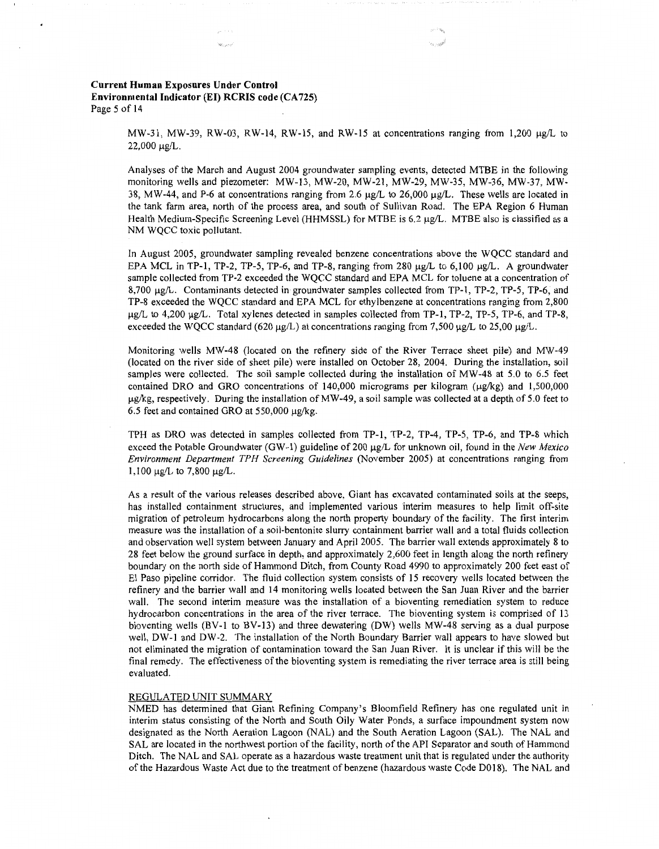## **Current Human Exposures Under Control Environmental Indicator (El) RCRIS code (CA 725)**  Page 5 of 14

MW-31, MW-39, RW-03, RW-14, RW-15, and RW-15 at concentrations ranging from 1,200  $\mu$ g/L to 22,000 µg/L.

Analyses of the March and August 2004 groundwater sampling events, detected MTBE in the following monitoring wells and piezometer: MW-13, MW-20, MW-21, MW-29, MW-35, MW-36, MW-37, MW-38, MW-44, and P-6 at concentrations ranging from 2.6 µg/L to 26,000 µg/L. These wells are located in the tank farm area, north of the process area, and south of Sullivan Road. The EPA Region 6 Human Health Medium-Specific Screening Level (HHMSSL) for MTBE is 6.2 µg/L. MTBE also is classified as a NM WQCC toxic pollutant.

In August 2005, groundwater sampling revealed benzene concentrations above the WQCC standard and EPA MCL in TP-1, TP-2, TP-5, TP-6, and TP-8, ranging from 280  $\mu$ g/L to 6,100  $\mu$ g/L. A groundwater sample collected from TP-2 exceeded the WQCC standard and EPA MCL for toluene at a concentration of 8,700 µg/L. Contaminants detected in groundwater samples collected from TP-1, TP-2, TP-5, TP-6, and TP-8 exceeded the WQCC standard and EPA MCL for ethylbenzene at concentrations ranging from 2,800 µg/L to 4,200 µg/L. Total xylenes detected in samples collected from TP-1, TP-2, TP-5, TP-6, and TP-8, exceeded the WOCC standard (620  $\mu$ g/L) at concentrations ranging from 7,500  $\mu$ g/L to 25,00  $\mu$ g/L.

Monitoring wells MW-48 (located on the refinery side of the River Terrace sheet pile) and MW-49 (located on the river side of sheet pile) were installed on October 28, 2004. During the installation, soil samples were collected. The soil sample collected during the installation of MW-48 at 5.0 to 6.5 feet contained DRO and GRO concentrations of 140,000 micrograms per kilogram  $(\mu g/kg)$  and 1,500,000 µg/kg, respectively. During the installation of MW-49, a soil sample was collected at a depth of 5.0 feet to 6.5 feet and contained ORO at 550,000 µg/kg.

TPH as DRO was detected in samples collected from TP-1, TP-2, TP-4, TP-5, TP-6, and TP-8 which exceed the Potable Groundwater (GW-1) guideline of200 µg/L for unknown oil, found in the *New Mexico Environment Department TPH Screening Guidelines* (November 2005) at concentrations ranging from 1,100 µg/L to 7,800 µg/L.

As a result of the various releases described above, Giant has excavated contaminated soils at the seeps, has installed containment structures, and implemented various interim measures to help limit off-site migration of petroleum hydrocarbons along the north property boundary of the facility. The first interim measure was the installation of a soil-bentonite slurry containment barrier wall and a total fluids collection and observation well system between January and April 2005. The barrier wall extends approximately 8 to 28 feet below the ground surface in depth, and approximately 2,600 feet in length along the north refinery boundary on the north side of Hammond Ditch, from County Road 4990 to approximately 200 feet east of El Paso pipeline corridor. The fluid collection system consists of 15 recovery wells located between the refinery and the barrier wall and 14 monitoring wells located between the San Juan River and the barrier wall. The second interim measure was the installation of a bioventing remediation system to reduce hydrocarbon concentrations in the area of the river terrace. The bioventing system is comprised of 13 bioventing wells (BV-1 to BV-13) and three dewatering (DW) wells MW-48 serving as a dual purpose well, DW-1 and DW-2. The installation of the North Boundary Barrier wall appears to have slowed but not eliminated the migration of contamination toward the San Juan River. It is unclear if this will be the final remedy. The effectiveness of the bioventing system is remediating the river terrace area is still being evaluated.

## REGULATED UNIT SUMMARY

NMED has determined that Giant Refining Company's Bloomfield Refinery has one regulated unit in interim status consisting of the North and South Oily Water Ponds, a surface impoundment system now designated as the North Aeration Lagoon (NAL) and the South Aeration Lagoon (SAL). The NAL and SAL are located in the northwest portion of the facility, north of the API Separator and south of Hammond Ditch. The NAL and SAL operate as a hazardous waste treatment unit that is regulated under the authority of the Hazardous Waste Act due to the treatment of benzene {hazardous waste Code D018). The NAL and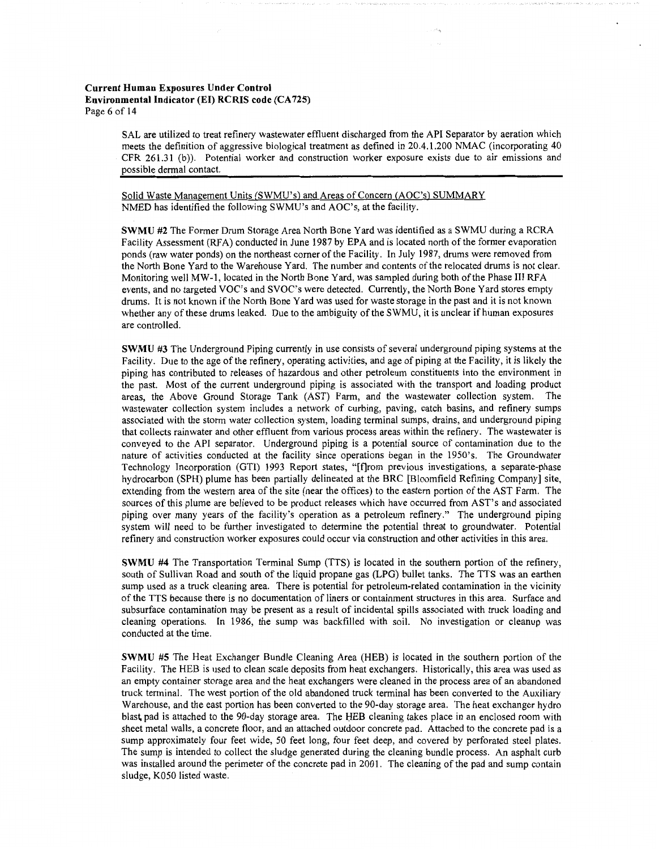#### **Current Human Exposures Under Control Environmental Indicator (EI) RCRIS code (CA 725)**  Page 6 of 14

SAL are utilized to treat refinery wastewater effluent discharged from the API Separator by aeration which meets the definition of aggressive biological treatment as defined in 20.4.1.200 NMAC (incorporating 40 CFR 261.31 (b)). Potential worker and construction worker exposure exists due to air emissions and possible dermal contact.

Solid Waste Management Units (SWMU's) and Areas of Concern (AOC's) SUMMARY NMED has identified the following SWMU's and AOC's, at the facility.

**SWMU #2** The Former Drum Storage Area North Bone Yard was identified as a SWMU during a RCRA Facility Assessment (RFA) conducted in June 1987 by EPA and is located north of the former evaporation ponds (raw water ponds) on the northeast corner of the Facility. In July 1987, drums were removed from the North Bone Yard to the Warehouse Yard. The number and contents of the relocated drums is not clear. Monitoring well MW-1, located in the North Bone Yard, was sampled during both of the Phase III RFA events, and no targeted VOC's and SVOC's were detected. Currently, the North Bone Yard stores empty drums. It is not known if the North Bone Yard was used for waste storage in the past and it is not known whether any of these drums leaked. Due to the ambiguity of the SWMU, it is unclear if human exposures are controlled.

**SWMU #3** The Underground Piping currently in use consists of several underground piping systems at the Facility. Due to the age of the refinery, operating activities, and age of piping at the Facility, it is likely the piping has contributed to releases of hazardous and other petroleum constituents into the environment in the past. Most of the current underground piping is associated with the transport and loading product areas, the Above Ground Storage Tank (AST) Fann, and the wastewater collection system. The wastewater collection system includes a network of curbing, paving, catch basins, and refinery sumps associated with the storm water collection system, loading terminal sumps, drains, and underground piping that collects rainwater and other effluent from various process areas within the refinery. The wastewater is conveyed to the API separator. Underground piping is a potential source of contamination due to the nature of activities conducted at the facility since operations began in the 1950's. The Groundwater Technology Incorporation (GTI) 1993 Report states, "[f]rom previous investigations, a separate-phase hydrocarbon (SPH) plume has been partially delineated at the BRC [Bloomfield Refining Company] site, extending from the western area of the site (near the offices) to the eastern portion of the AST Farm. The sources of this plume are believed to be product releases which have occurred from AST's and associated piping over many years of the facility's operation as a petroleum refinery." The underground piping system will need to be further investigated to determine the potential threat to groundwater. Potential refinery and construction worker exposures could occur via construction and other activities in this area.

**SWMU #4** The Transportation Terminal Sump (TTS) is located in the southern portion of the refinery, south of Sullivan Road and south of the liquid propane gas (LPG) bullet tanks. The TTS was an earthen sump used as a truck cleaning area. There is potential for petroleum-related contamination in the vicinity of the TTS because there is no documentation of liners or containment structures in this area. Surface and subsurface contamination may be present as a result of incidental spills associated with truck loading and cleaning operations. In 1986, the sump was backfilled with soil. No investigation or cleanup was conducted at the time.

**SWMU #5** The Heat Exchanger Bundle Cleaning Area (HEB) is located in the southern portion of the Facility. The HEB is used to clean scale deposits from heat exchangers. Historically, this area was used as an empty container storage area and the heat exchangers were cleaned in the process area of an abandoned truck terminal. The west portion of the old abandoned truck terminal has been converted to the Auxiliary Warehouse, and the east portion has been converted to the 90-day storage area. The heat exchanger hydro blast pad is attached to the 90-day storage area. The HEB cleaning takes place in an enclosed room with sheet metal walls, a concrete floor, and an attached outdoor concrete pad. Attached to the concrete pad is a sump approximately four feet wide, 50 feet long, four feet deep, and covered by perforated steel plates. The sump is intended to collect the sludge generated during the cleaning bundle process. An asphalt curb was installed around the perimeter of the concrete pad in 2001. The cleaning of the pad and sump contain sludge, KOSO listed waste.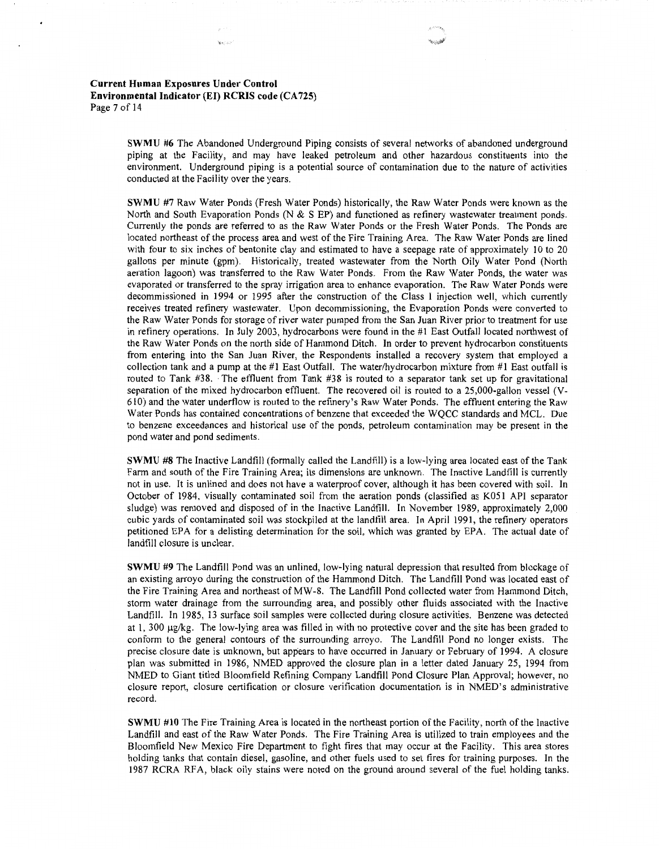# **Current Human Exposures Under Control Environmental Indicator (El) RCRIS code (CA 725)**  Page 7 of 14

**SWMU #6** The Abandoned Underground Piping consists of several networks of abandoned underground piping at the Facility, and may have leaked petroleum and other hazardous constituents into the environment. Underground piping is a potential source of contamination due to the nature of activities conducted at the Facility over the years.

**SWMU** #7 Raw Water Ponds (Fresh Water Ponds) historically, the Raw Water Ponds were known as the North and South Evaporation Ponds (N & S EP) and functioned as refinery wastewater treatment ponds. Currently the ponds are referred to as the Raw Water Ponds or the Fresh Water Ponds. The Ponds are located northeast of the process area and west of the Fire Training Area. The Raw Water Ponds are lined with four to six inches of bentonite clay and estimated to have a seepage rate of approximately 10 to 20 gallons per minute (gpm). Historically, treated wastewater from the North Oily Water Pond (North aeration lagoon) was transferred to the Raw Water Ponds. From the Raw Water Ponds, the water was evaporated or transferred to the spray irrigation area to enhance evaporation. The Raw Water Ponds were decommissioned in 1994 or 1995 after the construction of the Class I injection well, which currently receives treated refinery wastewater. Upon decommissioning, the Evaporation Ponds were converted to the Raw Water Ponds for storage of river water pumped from the San Juan River prior to treatment for use in refinery operations. In July 2003, hydrocarbons were found in the  $#1$  East Outfall located northwest of the Raw Water Ponds on the north side of Hammond Ditch. In order to prevent hydrocarbon constituents from entering into the San Juan River, the Respondents installed a recovery system that employed a collection tank and a pump at the #1 East Outfall. The water/hydrocarbon mixture from #1 East outfall is routed to Tank #38. The effluent from Tank #38 is routed to a separator tank set up for gravitational separation of the mixed hydrocarbon effluent. The recovered oil is routed to a 25,000-gallon vessel (V-610) and the water underflow is routed to the refinery's Raw Water Ponds. The effluent entering the Raw Water Ponds has contained concentrations of benzene that exceeded the WQCC standards and MCL. Due to benzene exceedances and historical use of the ponds, petroleum contamination may be present in the pond water and pond sediments.

**SWMU #8** The Inactive Landfill (formally called the Landfill) is a low-lying area located east of the Tank Farm and south of the Fire Training Area; its dimensions are unknown. The Inactive Landfill is currently not in use. It is unlined and does not have a waterproof cover, although it has been covered with soil. In October of 1984, visually contaminated soil from the aeration ponds (classified as K051 API separator sludge) was removed and disposed of in the Inactive Landfill. In November 1989, approximately 2,000 cubic yards of contaminated soil was stockpiled at the landfill area. In April I 991, the refinery operators petitioned EPA for a delisting determination for the soil, which was granted by EPA. The actual date of landfill closure is unclear.

**SWMU #9** The Landfill Pond was an unlined, low-lying natural depression that resulted from blockage of an existing arroyo during the construction of the Hammond Ditch. The Landfill Pond was located east of the Fire Training Area and northeast of MW-8. The Landfill Pond collected water from Hammond Ditch, storm water drainage from the surrounding area, and possibly other fluids associated with the Inactive Landfill. In 1985, 13 surface soil samples were collected during closure activities. Benzene was detected at I, 300 µg/kg. The low-lying area was filled in with no protective cover and the site has been graded to conform to the general contours of the surrounding arroyo. The Landfill Pond no longer exists. The precise closure date is unknown, but appears to have occurred in January or February of 1994. A closure plan was submitted in 1986, NMED approved the closure plan in a letter dated January 25, 1994 from NMED to Giant titled Bloomfield Refining Company Landfill Pond Closure Plan Approval; however, no closure report, closure certification or closure verification documentation is in NMED's administrative record.

**SWMU #10** The Fire Training Area is located in the northeast portion of the Facility, north of the Inactive Landfill and east of the Raw Water Ponds. The Fire Training Area is utilized to train employees and the Bloomfield New Mexico Fire Department to fight fires that may occur at the Facility. This area stores holding tanks that contain diesel, gasoline, and other fuels used to set fires for training purposes. In the 1987 RCRA RFA, black oily stains were noted on the ground around several of the fuel holding tanks.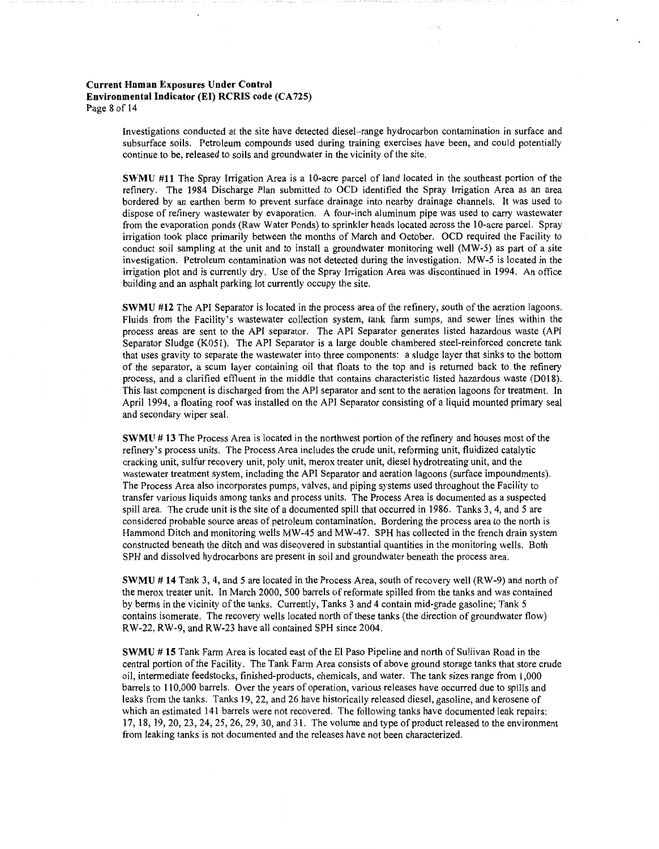## **Current Human Exposures Under Control Environmental Indicator (El) RCRIS code (CA 725)**  Page 8 of 14

Investigations conducted at the site have detected diesel-range hydrocarbon contamination in surface and subsurface soils. Petroleum compounds used during training exercises have been, and could potentially continue to be, released to soils and groundwater in the vicinity of the site.

**SWMU #11** The Spray Irrigation Area is a 10-acre parcel of land located in the southeast portion of the refinery. The 1984 Discharge Plan submitted to OCD identified the Spray Irrigation Area as an area bordered by an earthen berm to prevent surface drainage into nearby drainage channels. It was used to dispose of refinery wastewater by evaporation. A four-inch aluminum pipe was used to carry wastewater from the evaporation ponds (Raw Water Ponds) to sprinkler heads located across the 10-acre parcel. Spray irrigation took place primarily between the months of March and October. OCD required the Facility to conduct soil sampling at the unit and to install a groundwater monitoring well (MW-5) as part of a site investigation. Petroleum contamination was not detected during the investigation. MW-5 is located in the irrigation plot and is currently dry. Use of the Spray Irrigation Area was discontinued in 1994. An office building and an asphalt parking lot currently occupy the site.

**SWMU #12** The API Separator is located in the process area of the refinery, south of the aeration lagoons. Fluids from the Facility's wastewater collection system, tank farm sumps, and sewer lines within the process areas are sent to the API separator. The API Separator generates listed hazardous waste (API Separator Sludge (K051). The API Separator is a large double chambered steel-reinforced concrete tank that uses gravity to separate the wastewater into three components: a sludge layer that sinks to the bottom of the separator, a scum layer containing oil that floats to the top and is returned back to the refinery process, and a clarified effluent in the middle that contains characteristic listed hazardous waste (D018). This last component is discharged from the API separator and sent to the aeration lagoons for treatment. In April 1994, a floating roof was installed on the API Separator consisting of a liquid mounted primary seal and secondary wiper seal.

**SWMU # 13** The Process Area is located in the northwest portion of the refinery and houses most of the refinery's process units. The Process Area includes the crude unit, reforming unit, fluidized catalytic cracking unit, sulfur recovery unit, poly unit, merox treater unit, diesel hydrotreating unit, and the wastewater treatment system, including the API Separator and aeration lagoons (surface impoundments). The Process Area also incorporates pumps, valves, and piping systems used throughout the Facility to transfer various liquids among tanks and process units. The Process Area is documented as a suspected spill area. The crude unit is the site of a documented spill that occurred in 1986. Tanks 3, 4, and 5 are considered probable source areas of petroleum contamination. Bordering the process area to the north is Hammond Ditch and monitoring wells MW-45 and MW-47. SPH has collected in the french drain system constructed beneath the ditch and was discovered in substantial quantities in the monitoring wells. Both SPH and dissolved hydrocarbons are present in soil and groundwater beneath the process area.

**SWMU #14** Tank 3, 4, and 5 are located in the Process Area, south of recovery well (RW-9) and north of the merox treater unit. In March 2000, 500 barrels ofreformate spilled from the tanks and was contained by berms in the vicinity of the tanks. Currently, Tanks 3 and 4 contain mid-grade gasoline; Tank 5 contains isomerate. The recovery wells located north of these tanks (the direction of groundwater flow) RW-22, RW-9, and RW-23 have all contained SPH since 2004.

**SWMU # 15** Tank Farm Area is located east of the El Paso Pipeline and north of Sullivan Road in the central portion of the Facility. The Tank Farm Area consists of above ground storage tanks that store crude oil, intermediate feedstocks, finished-products, chemicals, and water. The tank sizes range from 1,000 barrels to 110,000 barrels. Over the years of operation, various releases have occurred due to spills and leaks from the tanks. Tanks 19, 22, and 26 have historically released diesel, gasoline, and kerosene of which an estimated 141 barrels were not recovered. The following tanks have documented leak repairs: 17, 18, 19, 20, 23, 24, 25, 26, 29, 30, and 31. The volume and type of product released to the environment from leaking tanks is not documented and the releases have not been characterized.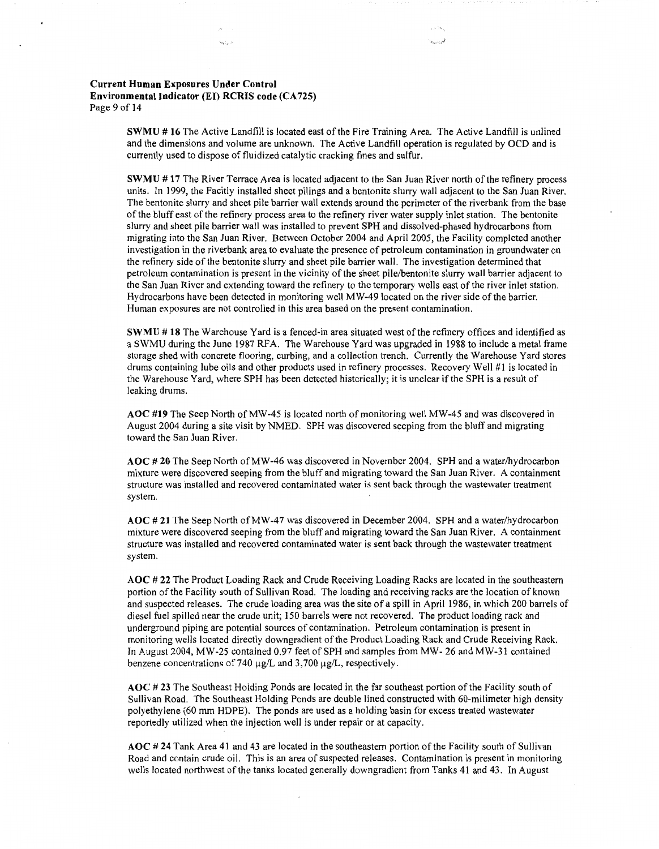## **Current Human Exposures Under Control Environmental Indicator (EI) RCRIS code (CA 725)**  Page 9 of 14

**SWMU # 16** The Active Landfill is located east of the Fire Training Area. The Active Landfill is unlined and the dimensions and volume are unknown. The Active Landfill operation is regulated by OCD and is currently used to dispose of fluidized catalytic cracking fines and sulfur.

**SWMU # 17** The River Terrace Area is located adjacent to the San Juan River north of the refinery process units. In 1999, the Facitly installed sheet pilings and a bentonite slurry wall adjacent to the San Juan River. The bentonite slurry and sheet pile barrier wall extends around the perimeter of the riverbank from the base of the bluff east of the refinery process area to the refinery river water supply inlet station. The bentonite slurry and sheet pile barrier wall was installed to prevent SPH and dissolved-phased hydrocarbons from migrating into the San Juan River. Between October 2004 and April 2005, the Facility completed another investigation in the riverbank area to evaluate the presence of petroleum contamination in groundwater on the refinery side of the bentonite slurry and sheet pile barrier wall. The investigation determined that petroleum contamination is present in the vicinity of the sheet pile/bentonite slurry wall barrier adjacent to the San Juan River and extending toward the refinery to the temporary wells east of the river inlet station. Hydrocarbons have been detected in monitoring well MW-49 located on the river side of the barrier. Human exposures are not controlled in this area based on the present contamination.

**SWMU # 18** The Warehouse Yard is a fenced-in area situated west of the refinery offices and identified as a SWMU during the June 1987 RFA. The Warehouse Yard was upgraded in 1988 to include a metal frame storage shed with concrete flooring, curbing, and a collection trench. Currently the Warehouse Yard stores drums containing lube oils and other products used in refinery processes. Recovery Well **#1** is located in the Warehouse Yard, where SPH has been detected historically; it is unclear if the SPH is a result of leaking drums.

**AOC #19** The Seep North ofMW-45 is located north of monitoring well MW-45 and was discovered in August 2004 during a site visit by NMED. SPH was discovered seeping from the bluff and migrating toward the San Juan River.

**AOC# 20** The Seep North ofMW-46 was discovered in November 2004. SPH and a water/hydrocarbon mixture were discovered seeping from the bluff and migrating toward the San Juan River. A containment structure was installed and recovered contaminated water is sent back through the wastewater treatment system.

**AOC# 21** The Seep North ofMW-47 was discovered in December 2004. SPH and a water/hydrocarbon mixture were discovered seeping from the bluff and migrating toward the San Juan River. A containment structure was installed and recovered contaminated water is sent back through the wastewater treatment system.

**AOC# 22** The Product Loading Rack and Crude Receiving Loading Racks are located in the southeastern portion of the Facility south of Sullivan Road. The loading and receiving racks are the location of known and suspected releases. The crude loading area was the site of a spill in April 1986, in which 200 barrels of diesel fuel spilled near the crude unit; 150 barrels were not recovered. The product loading rack and underground piping are potential sources of contamination. Petroleum contamination is present in monitoring wells located directly downgradient of the Product Loading Rack and Crude Receiving Rack. In August 2004, MW-25 contained 0.97 feet of SPH and samples from MW- 26 and MW-31 contained benzene concentrations of740 µg/L and 3,700 µg/L, respectively.

**AOC# 23** The Southeast Holding Ponds are located in the far southeast portion of the Facility south of Sullivan Road. The Southeast Holding Ponds are double lined constructed with 60-milimeter high density polyethylene (60 mm HDPE). The ponds are used as a holding basin for excess treated wastewater reportedly utilized when the injection well is under repair or at capacity.

**AOC# 24** Tank Area 41 and 43 are located in the southeastern portion of the Facility south of Sullivan Road and contain crude oil. This is an area of suspected releases. Contamination is present in monitoring wells located northwest of the tanks located generally downgradient from Tanks 41 and 43. In August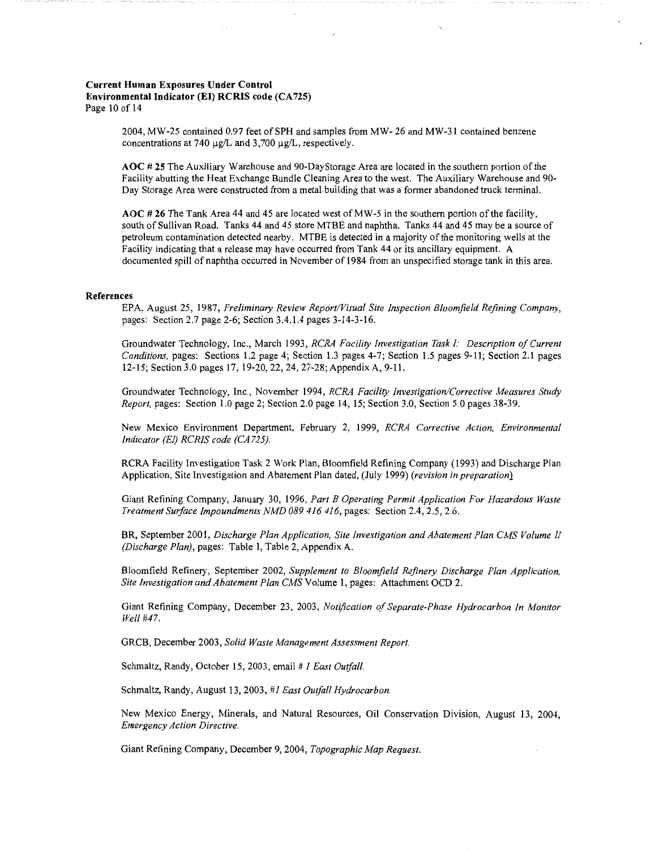## **Current Human Exposures Under Control Environmental Indicator (EI) RCRIS code (CA 725)**  Page 10 of 14

2004, MW-25 contained 0.97 feet of SPH and samples from MW- 26 and MW-31 contained benzene concentrations at 740 µg/L and 3,700 µg/L, respectively.

**AOC# 25** The Auxiliary Warehouse and 90-DayStorage Area are located in the southern portion of the Facility abutting the Heat Exchange Bundle Cleaning Area to the west. The Auxiliary Warehouse and 90- Day Storage Area were constructed from a metal.building that was a former abandoned truck terminal.

**AOC** # **26** The Tank Area 44 and 45 are located west of MW-5 in the southern portion of the facility, south of Sullivan Road. Tanks 44 and 45 store MTBE and naphtha. Tanks 44 and 45 may be a source of petroleum contamination detected nearby. MTBE is detected in a majority of the monitoring wells at the Facility indicating that a release may have occurred from Tank 44 or its ancillary equipment. A documented spill of naphtha occurred in November of 1984 from an unspecified storage tank in this area.

#### **References**

EPA, August 25, 1987, *Preliminary Review Report/Visual Site Inspection Bloomfield Refining Company,*  pages: Section 2.7 page 2-6; Section 3.4.1.4 pages 3-14-3-16.

Groundwater Technology, Inc., March 1993, *RCRA Facility Investigation Task I: Description of Current Conditions,* pages: Sections 1.2 page 4; Section 1.3 pages 4-7; Section 1.5 pages 9-11; Section 2.1 pages 12-15; Section 3.0 pages 17, 19-20, 22, 24, 27-28; Appendix A, 9-11.

Groundwater Technology, Inc., November 1994, *RCRA Facility Investigation/Corrective Measures Study Report,* pages: Section 1.0 page 2; Section 2.0 page 14, 15; Section 3.0, Section 5.0 pages 38-39.

New Mexico Environment Department, February 2, 1999, *RCRA Corrective Action, Environmental Indicator (El} RCRIS code (CA 725).* 

RCRA Facility Investigation Task 2 Work Plan, Bloomfield Refining Company (1993) and Discharge Plan Application, Site Investigation and Abatement Plan dated, (July 1999) *(revision in preparation}* 

Giant Refining Company, January 30, 1996, *Part B Operating Permit Application For Hazardous Waste Treatment Surface Impoundments NMD 089 416 416,* pages: Section 2.4, 2.5, 2.6.

BR, September 2001, *Discharge Plan Application, Site Investigation and Abatement Plan CMS Volume II (Discharge Plan),* pages: Table 1, Table 2, Appendix A.

Bloomfield Refinery, September 2002, *Supplement to Bloomfield Refinery Discharge Plan Application, Site Investigation and Abatement Plan CMS* Volume 1, pages: Attachment OCD 2.

Giant Refining Company, December 23, 2003, *Notification of Separate-Phase Hydrocarbon In Monitor Well #47.* 

GRCB, December 2003, *Solid Waste Management Assessment Report.* 

Schmaltz, Randy, October 15, 2003, email # *I East Outfall* 

Schmaltz, Randy, August 13, 2003, *#1 East Outfall Hydrocarbon.* 

New Mexico Energy, Minerals, and Natural Resources, Oil Conservation Division, August 13, 2004, *Emergency Action Directive.* 

Giant Refining Company, December 9, 2004, *Topographic Map Request.*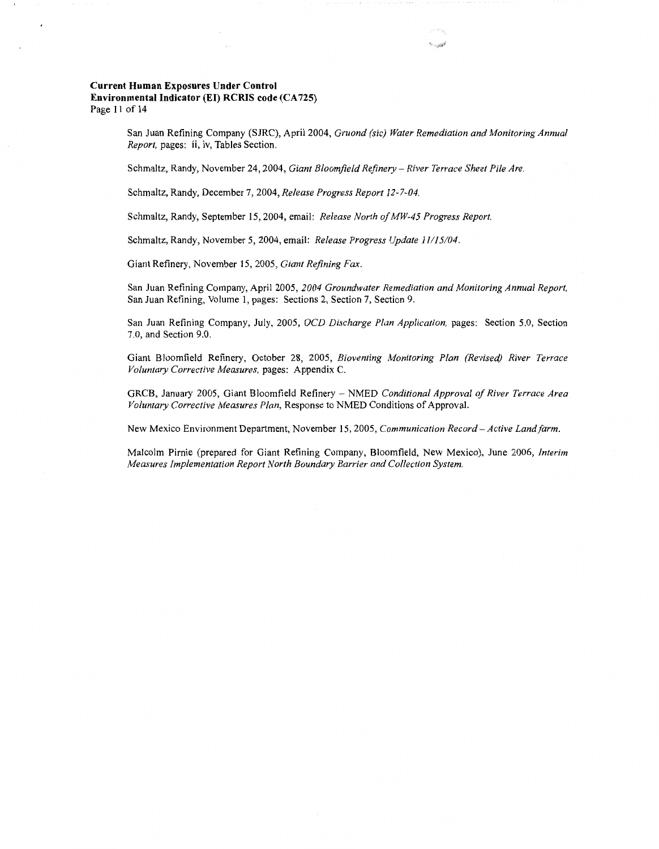## **Current Human Exposures Under Control Environmental Indicator (El) RCRIS code (CA 725)**  Page **11** of 14

San Juan Refining Company (SJRC), April 2004, *Gruond (sic) Water Remediation and Monitoring Annual Report,* pages: ii, iv, Tables Section.

and and **Second Service** 

Schmaltz, Randy, November 24, 2004, *Giant Bloomfield Refinery - River Terrace Sheet Pile Are.* 

Schmaltz, Randy, December 7, 2004, *Release Progress Report 12-7-04.* 

Schmaltz, Randy, September 15, 2004, email: *Release North of MW-45 Progress Report.* 

Schmaltz, Randy, November 5, 2004, email: *Release Progress Update 11/15/04*.

Giant Refinery, November 15, 2005, *Giant Refining Fax.* 

San Juan Refining Company, April 2005, *2004 Groundwater Remediation and Monitoring Annual Report,*  San Juan Refining, Volume **1,** pages: Sections 2, Section 7, Section 9.

San Juan Refining Company, July, 2005, *OCD Discharge Plan Application,* pages: Section 5.0, Section 7.0, and Section 9.0.

Giant Bloomfield Refinery, October 28, 2005, *Bioventing Monitoring Plan (Revised) River Terrace Voluntary Corrective Measures,* pages: Appendix C.

GRCB, January 2005, Giant Bloomfield Refinery - NMED *Conditional Approval of River Terrace Area Voluntary Corrective Measures Plan,* Response to NMED Conditions of Approval.

New Mexico Environment Department, November 15, 2005, *Communication Record-Active Land farm.* 

Malcolm Pirnie (prepared for Giant Refining Company, Bloomfield, New Mexico), June 2006, *Interim Measures Implementation Report North Boundary Barrier and Collection System.*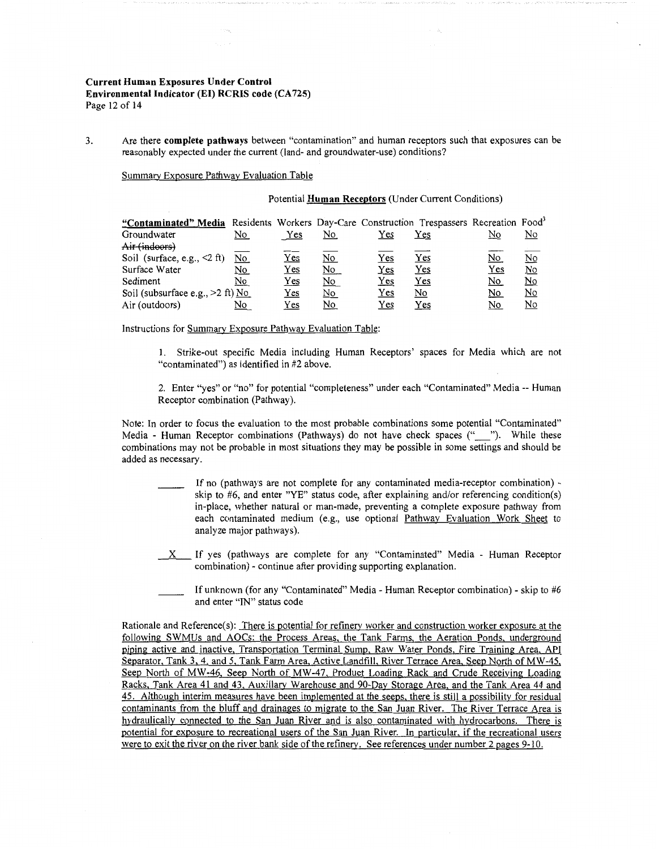## **Current Human Exposures Under Control Environmental Indicator (El) RCRIS code (CA 725)**  Page 12 of 14

3. Are there **complete pathways** between "contamination" and human receptors such that exposures can be reasonably expected under the current (land- and groundwater-use) conditions?

# Summary Exposure Pathway Evaluation Table

#### Potential **Human Receptors** (Under Current Conditions)

| "Contaminated" Media Residents Workers Day-Care Construction Trespassers Recreation Food <sup>3</sup> |                         |            |                        |            |            |           |           |
|-------------------------------------------------------------------------------------------------------|-------------------------|------------|------------------------|------------|------------|-----------|-----------|
| Groundwater                                                                                           | No                      | Yes        | No.                    | Yes        | Yes        | No        | <u>No</u> |
| Air (indoors)                                                                                         |                         |            |                        |            |            |           |           |
| Soil (surface, e.g., $\leq 2$ ft)                                                                     | No.                     | $Yes$      | <u>No</u>              | <u>Yes</u> | $Yes$      | <u>No</u> | <u>No</u> |
| Surface Water                                                                                         | <u>No</u>               | <u>Yes</u> | <u>No</u>              | $Yes$      | Yes        | Yes       | <u>No</u> |
| Sediment                                                                                              | No                      | <u>Yes</u> | <u>No</u>              | <u>Yes</u> | <u>Yes</u> | No.       | No        |
| Soil (subsurface e.g., $>2$ ft) No                                                                    |                         | $Yes$      | $\overline{\text{No}}$ | <u>Yes</u> | <u>No</u>  | <u>No</u> | <u>No</u> |
| Air (outdoors)                                                                                        | $\underline{\text{No}}$ | Yes        | No                     | Yes        | Yes        | No        | No        |

Instructions for Summary Exposure Pathway Evaluation Table:

1. Strike-out specific Media including Human Receptors' spaces for Media which are not "contaminated") as identified in #2 above.

2. Enter "yes" or "no" for potential "completeness" under each "Contaminated" Media -- Human Receptor combination (Pathway).

Note: In order to focus the evaluation to the most probable combinations some potential "Contaminated" Media - Human Receptor combinations (Pathways) do not have check spaces ("\_\_"). While these combinations may not be probable in most situations they may be possible in some settings and should be added as necessary.

- If no (pathways are not complete for any contaminated media-receptor combination) skip to #6, and enter "YE" status code, after explaining and/or referencing condition(s) in-place, whether natural or man-made, preventing a complete exposure pathway from each contaminated medium (e.g., use optional Pathway Evaluation Work Sheet to analyze major pathways).
- X If yes (pathways are complete for any "Contaminated" Media Human Receptor combination) - continue after providing supporting explanation.
- If unknown (for any "Contaminated" Media Human Receptor combination) skip to #6 and enter "IN" status code

Rationale and Reference(s): There is potential for refinery worker and construction worker exposure at the following SWMUs and AOCs: the Process Areas, the Tank Farms, the Aeration Ponds, underground piping active and inactive, Transportation Terminal Sump, Raw Water Ponds, Fire Training Area, API Separator, Tank 3, 4, and 5, Tank Farm Area, Active Landfill, River Terrace Area, Seep North of MW-45, Seep North of MW-46, Seep North of MW-47, Product Loading Rack and Crude Receiving Loading Racks, Tank Area 41 and 43, Auxiliary Warehouse and 90-Day Storage Area, and the Tank Area 44 and 45. Although interim measures have been implemented at the seeps, there is still a possibility for residual contaminants from the bluff and drainages to migrate to the San Juan River. The River Terrace Area is hydraulically connected to the San Juan River and is also contaminated with hydrocarbons. There is potential for exposure to recreational users of the San Juan River. In particular, if the recreational users were to exit the river on the river bank side of the refinery. See references under number 2 pages 9-10.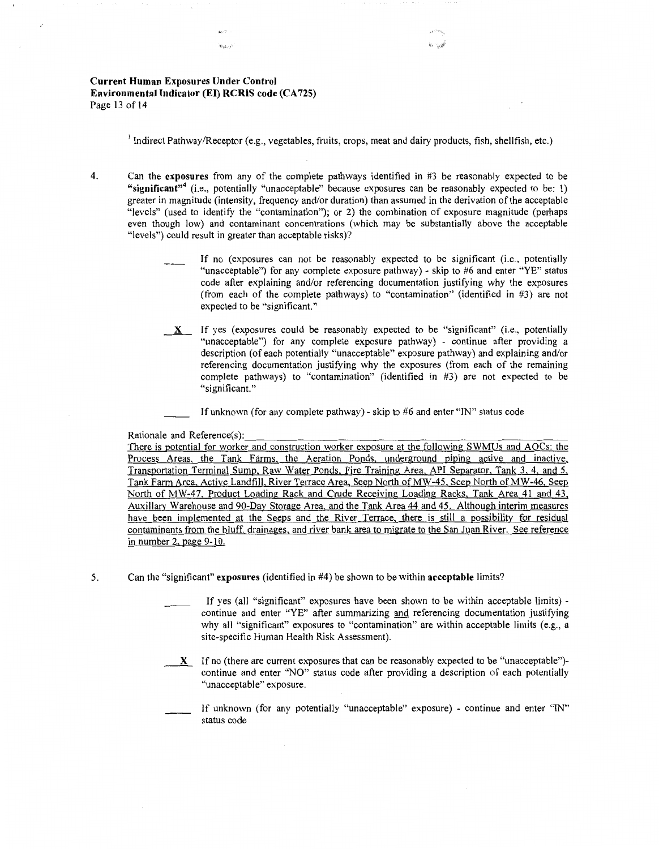## **Current Human Exposures Under Control Environmental Indicator (EI) RCRIS code (CA 725)**  Page 13 of 14

 $\mathbf{G}_{\mathbf{G} \leftarrow \mathbf{S}}$ 

3 Indirect Pathway/Receptor (e.g., vegetables, fruits, crops, meat and dairy products, fish, shellfish, etc.)

فلارد دنة

4. Can the **exposures** from any of the complete pathways identified in #3 be reasonably expected to be **"significant"<sup>4</sup>**(i.e., potentially "unacceptable" because exposures can be reasonably expected to be: 1) greater in magnitude (intensity, frequency and/or duration) than assumed in the derivation of the acceptable "levels" (used to identify the "contamination"); or 2) the combination of exposure magnitude (perhaps even though low) and contaminant concentrations (which may be substantially above the acceptable "levels") could result in greater than acceptable risks)?

- If no (exposures can not be reasonably expected to be significant (i.e., potentially "unacceptable") for any complete exposure pathway) - skip to #6 and enter "YE" status code after explaining and/or referencing documentation justifying why the exposures (from each of the complete pathways) to "contamination" (identified in #3) are not expected to be "significant."
- **\_X\_** If yes (exposures could be reasonably expected to be "significant" (i.e., potentially "unacceptable") for any complete exposure pathway) - continue after providing a description (of each potentially "unacceptable" exposure pathway) and explaining and/or referencing documentation justifying why the exposures (from each of the remaining complete pathways) to "contamination" (identified in #3) are not expected to be "significant."

If unknown (for any complete pathway) - skip to #6 and enter "IN" status code

#### Rationale and Reference(s):

There is potential for worker and construction worker exposure at the following SWMUs and AOCs: the Process Areas, the Tank Farms, the Aeration Ponds, underground piping active and inactive, Transportation Terminal Sump, Raw Water Ponds, Fire Training Area, AP! Separator, Tank 3, 4, and 5, Tank Farm Area, Active Landfill, River Terrace Area, Seep North of MW-45, Seep North of MW-46, Seep North of MW-47, Product Loading Rack and Crude Receiving Loading Racks, Tank Area 41 and 43, Auxiliary Warehouse and 90-Day Storage Area, and the Tank Area 44 and 45. Although interim measures have been implemented at the Seeps and the River Terrace, there is still a possibility for residual contaminants from the bluff, drainages, and river bank area to migrate to the San Juan River. See reference in number 2, page 9-10.

- 5. Can the "significant" **exposures** (identified in #4) be shown to be within **acceptable** limits?
	- If yes (all "significant" exposures have been shown to be within acceptable limits) continue and enter "YE" after summarizing and referencing documentation justifying why all "significant" exposures to "contamination" are within acceptable limits (e.g., a site-specific Human Health Risk Assessment).
	- **X** If no (there are current exposures that can be reasonably expected to be "unacceptable")continue and enter "NO" status code after providing a description of each potentially "unacceptable" exposure.
	- If unknown (for any potentially "unacceptable" exposure) continue and enter "IN" status code